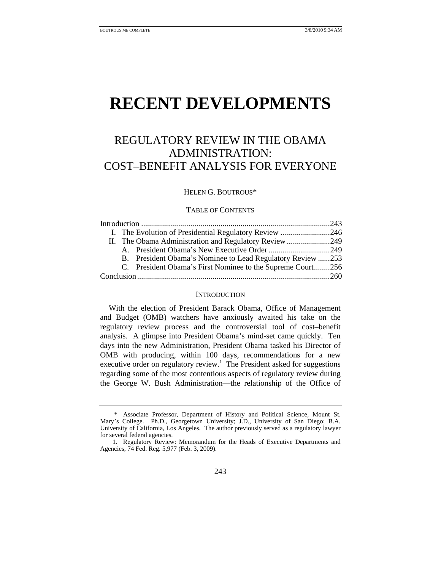# **RECENT DEVELOPMENTS**

# REGULATORY REVIEW IN THE OBAMA ADMINISTRATION: COST–BENEFIT ANALYSIS FOR EVERYONE

HELEN G. BOUTROUS\*

# TABLE OF CONTENTS

| I. The Evolution of Presidential Regulatory Review 246     |  |
|------------------------------------------------------------|--|
| II. The Obama Administration and Regulatory Review249      |  |
|                                                            |  |
| B. President Obama's Nominee to Lead Regulatory Review 253 |  |
| C. President Obama's First Nominee to the Supreme Court256 |  |
|                                                            |  |

# **INTRODUCTION**

With the election of President Barack Obama, Office of Management and Budget (OMB) watchers have anxiously awaited his take on the regulatory review process and the controversial tool of cost–benefit analysis. A glimpse into President Obama's mind-set came quickly. Ten days into the new Administration, President Obama tasked his Director of OMB with producing, within 100 days, recommendations for a new executive order on regulatory review.<sup>1</sup> The President asked for suggestions regarding some of the most contentious aspects of regulatory review during the George W. Bush Administration—the relationship of the Office of

 <sup>\*</sup> Associate Professor, Department of History and Political Science, Mount St. Mary's College. Ph.D., Georgetown University; J.D., University of San Diego; B.A. University of California, Los Angeles. The author previously served as a regulatory lawyer for several federal agencies.

 <sup>1.</sup> Regulatory Review: Memorandum for the Heads of Executive Departments and Agencies, 74 Fed. Reg. 5,977 (Feb. 3, 2009).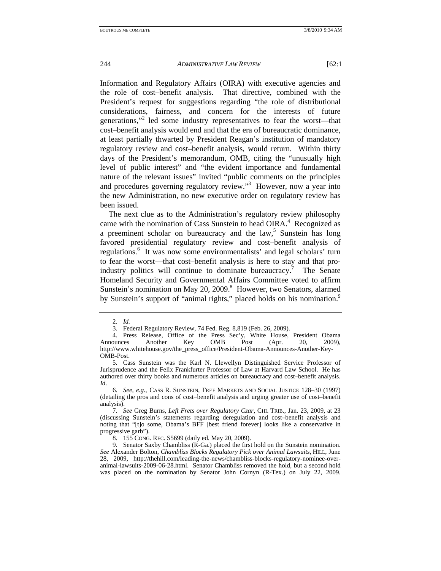Information and Regulatory Affairs (OIRA) with executive agencies and the role of cost–benefit analysis. That directive, combined with the President's request for suggestions regarding "the role of distributional considerations, fairness, and concern for the interests of future generations,"<sup>2</sup> led some industry representatives to fear the worst—that cost–benefit analysis would end and that the era of bureaucratic dominance, at least partially thwarted by President Reagan's institution of mandatory regulatory review and cost–benefit analysis, would return. Within thirty days of the President's memorandum, OMB, citing the "unusually high level of public interest" and "the evident importance and fundamental nature of the relevant issues" invited "public comments on the principles and procedures governing regulatory review."<sup>3</sup> However, now a year into the new Administration, no new executive order on regulatory review has been issued.

The next clue as to the Administration's regulatory review philosophy came with the nomination of Cass Sunstein to head  $OIRA<sup>4</sup>$ . Recognized as a preeminent scholar on bureaucracy and the  $law<sub>1</sub><sup>5</sup>$  Sunstein has long favored presidential regulatory review and cost–benefit analysis of regulations.<sup>6</sup> It was now some environmentalists' and legal scholars' turn to fear the worst—that cost–benefit analysis is here to stay and that proindustry politics will continue to dominate bureaucracy.<sup>7</sup> The Senate Homeland Security and Governmental Affairs Committee voted to affirm Sunstein's nomination on May 20, 2009.<sup>8</sup> However, two Senators, alarmed by Sunstein's support of "animal rights," placed holds on his nomination.<sup>9</sup>

 4. Press Release, Office of the Press Sec'y, White House, President Obama Announces Another Key OMB Post (Apr. 20, 2009), http://www.whitehouse.gov/the\_press\_office/President-Obama-Announces-Another-Key-OMB-Post.

6*. See, e.g.*, CASS R. SUNSTEIN, FREE MARKETS AND SOCIAL JUSTICE 128–30 (1997) (detailing the pros and cons of cost−benefit analysis and urging greater use of cost–benefit analysis).

7*. See* Greg Burns, *Left Frets over Regulatory Czar*, CHI. TRIB., Jan. 23, 2009, at 23 (discussing Sunstein's statements regarding deregulation and cost–benefit analysis and noting that "[t]o some, Obama's BFF [best friend forever] looks like a conservative in progressive garb").

8. 155 CONG. REC. S5699 (daily ed. May 20, 2009).

 9. Senator Saxby Chambliss (R-Ga.) placed the first hold on the Sunstein nomination. *See* Alexander Bolton, *Chambliss Blocks Regulatory Pick over Animal Lawsuits*, HILL, June 28, 2009, http://thehill.com/leading-the-news/chambliss-blocks-regulatory-nominee-overanimal-lawsuits-2009-06-28.html. Senator Chambliss removed the hold, but a second hold was placed on the nomination by Senator John Cornyn (R-Tex.) on July 22, 2009.

<sup>2</sup>*. Id.*

 <sup>3.</sup> Federal Regulatory Review, 74 Fed. Reg. 8,819 (Feb. 26, 2009).

 <sup>5.</sup> Cass Sunstein was the Karl N. Llewellyn Distinguished Service Professor of Jurisprudence and the Felix Frankfurter Professor of Law at Harvard Law School. He has authored over thirty books and numerous articles on bureaucracy and cost–benefit analysis. *Id*.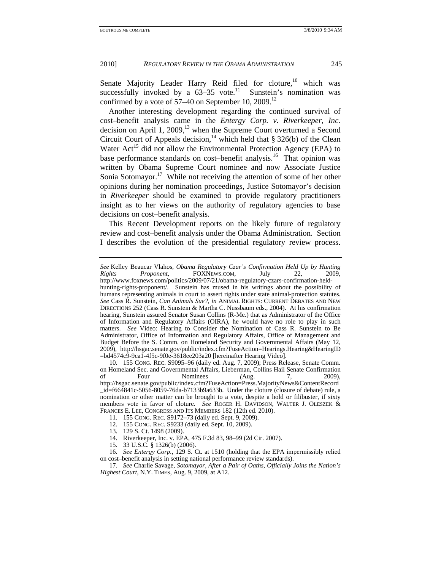Senate Majority Leader Harry Reid filed for cloture,<sup>10</sup> which was successfully invoked by a  $63-35$  vote.<sup>11</sup> Sunstein's nomination was confirmed by a vote of  $57-40$  on September 10, 2009.<sup>12</sup>

Another interesting development regarding the continued survival of cost–benefit analysis came in the *Entergy Corp. v. Riverkeeper, Inc.* decision on April 1, 2009, $^{13}$  when the Supreme Court overturned a Second Circuit Court of Appeals decision,<sup>14</sup> which held that § 326(b) of the Clean Water  $Act^{15}$  did not allow the Environmental Protection Agency (EPA) to base performance standards on cost–benefit analysis.<sup>16</sup> That opinion was written by Obama Supreme Court nominee and now Associate Justice Sonia Sotomayor.<sup>17</sup> While not receiving the attention of some of her other opinions during her nomination proceedings, Justice Sotomayor's decision in *Riverkeeper* should be examined to provide regulatory practitioners insight as to her views on the authority of regulatory agencies to base decisions on cost–benefit analysis.

This Recent Development reports on the likely future of regulatory review and cost–benefit analysis under the Obama Administration. Section I describes the evolution of the presidential regulatory review process.

http://www.foxnews.com/politics/2009/07/21/obama-regulatory-czars-confirmation-heldhunting-rights-proponent/. Sunstein has mused in his writings about the possibility of humans representing animals in court to assert rights under state animal-protection statutes. *See* Cass R. Sunstein, *Can Animals Sue?*, *in* ANIMAL RIGHTS: CURRENT DEBATES AND NEW DIRECTIONS 252 (Cass R. Sunstein & Martha C. Nussbaum eds., 2004). At his confirmation hearing, Sunstein assured Senator Susan Collins (R-Me.) that as Administrator of the Office of Information and Regulatory Affairs (OIRA), he would have no role to play in such matters. *See* Video: Hearing to Consider the Nomination of Cass R. Sunstein to Be Administrator, Office of Information and Regulatory Affairs, Office of Management and Budget Before the S. Comm. on Homeland Security and Governmental Affairs (May 12, 2009), http://hsgac.senate.gov/public/index.cfm?FuseAction=Hearings.Hearing&HearingID =bd4574c9-9ca1-4f5c-9f0e-3618ee203a20 [hereinafter Hearing Video].

- 14. Riverkeeper, Inc. v. EPA, 475 F.3d 83, 98–99 (2d Cir. 2007).
	- 15. 33 U.S.C. § 1326(b) (2006).

16*. See Entergy Corp.*, 129 S. Ct. at 1510 (holding that the EPA impermissibly relied on cost–benefit analysis in setting national performance review standards).

*See* Kelley Beaucar Vlahos, *Obama Regulatory Czar's Confirmation Held Up by Hunting Rights Proponent*, FOXNEWS.COM,

 <sup>10. 155</sup> CONG. REC. S9095–96 (daily ed. Aug. 7, 2009); Press Release, Senate Comm. on Homeland Sec. and Governmental Affairs, Lieberman, Collins Hail Senate Confirmation<br>of Four Nominees (Aug. 7, 2009). of Four Nominees *(*Aug. 7, 2009), http://hsgac.senate.gov/public/index.cfm?FuseAction=Press.MajorityNews&ContentRecord \_id=f664841c-5056-8059-76da-b7133b9a633b. Under the cloture (closure of debate) rule, a nomination or other matter can be brought to a vote, despite a hold or filibuster, if sixty members vote in favor of cloture. *See* ROGER H. DAVIDSON, WALTER J. OLESZEK & FRANCES E. LEE, CONGRESS AND ITS MEMBERS 182 (12th ed. 2010).

 <sup>11. 155</sup> CONG. REC. S9172–73 (daily ed. Sept. 9, 2009).

 <sup>12. 155</sup> CONG. REC. S9233 (daily ed. Sept. 10, 2009).

 <sup>13. 129</sup> S. Ct. 1498 (2009).

<sup>17</sup>*. See* Charlie Savage, *Sotomayor, After a Pair of Oaths, Officially Joins the Nation's Highest Court*, N.Y. TIMES, Aug. 9, 2009, at A12.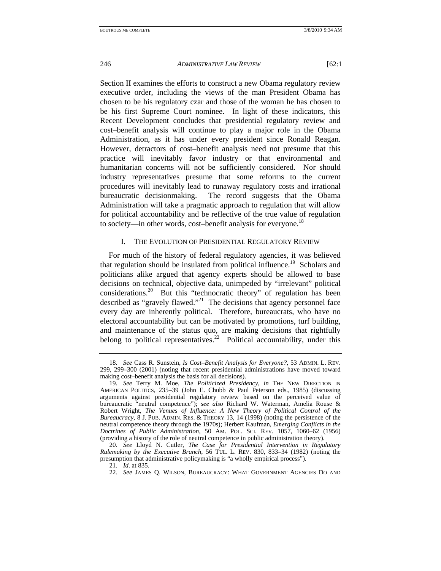Section II examines the efforts to construct a new Obama regulatory review executive order, including the views of the man President Obama has chosen to be his regulatory czar and those of the woman he has chosen to be his first Supreme Court nominee. In light of these indicators, this Recent Development concludes that presidential regulatory review and cost–benefit analysis will continue to play a major role in the Obama Administration, as it has under every president since Ronald Reagan. However, detractors of cost–benefit analysis need not presume that this practice will inevitably favor industry or that environmental and humanitarian concerns will not be sufficiently considered. Nor should industry representatives presume that some reforms to the current procedures will inevitably lead to runaway regulatory costs and irrational bureaucratic decisionmaking. The record suggests that the Obama Administration will take a pragmatic approach to regulation that will allow for political accountability and be reflective of the true value of regulation to society—in other words, cost–benefit analysis for everyone.<sup>18</sup>

# I. THE EVOLUTION OF PRESIDENTIAL REGULATORY REVIEW

For much of the history of federal regulatory agencies, it was believed that regulation should be insulated from political influence.<sup>19</sup> Scholars and politicians alike argued that agency experts should be allowed to base decisions on technical, objective data, unimpeded by "irrelevant" political considerations.20 But this "technocratic theory" of regulation has been described as "gravely flawed."<sup>21</sup> The decisions that agency personnel face every day are inherently political. Therefore, bureaucrats, who have no electoral accountability but can be motivated by promotions, turf building, and maintenance of the status quo, are making decisions that rightfully belong to political representatives.<sup>22</sup> Political accountability, under this

<sup>18</sup>*. See* Cass R. Sunstein, *Is Cost–Benefit Analysis for Everyone?*, 53 ADMIN. L. REV. 299, 299–300 (2001) (noting that recent presidential administrations have moved toward making cost–benefit analysis the basis for all decisions).

<sup>19</sup>*. See* Terry M. Moe, *The Politicized Presidency*, *in* THE NEW DIRECTION IN AMERICAN POLITICS, 235−39 (John E. Chubb & Paul Peterson eds., 1985) (discussing arguments against presidential regulatory review based on the perceived value of bureaucratic "neutral competence"); *see also* Richard W. Waterman, Amelia Rouse & Robert Wright, *The Venues of Influence: A New Theory of Political Control of the Bureaucracy*, 8 J. PUB. ADMIN. RES. & THEORY 13, 14 (1998) (noting the persistence of the neutral competence theory through the 1970s); Herbert Kaufman, *Emerging Conflicts in the Doctrines of Public Administration*, 50 AM. POL. SCI. REV. 1057, 1060–62 (1956) (providing a history of the role of neutral competence in public administration theory).

<sup>20</sup>*. See* Lloyd N. Cutler, *The Case for Presidential Intervention in Regulatory Rulemaking by the Executive Branch*, 56 TUL. L. REV. 830, 833–34 (1982) (noting the presumption that administrative policymaking is "a wholly empirical process").

<sup>21</sup>*. Id*. at 835.

<sup>22</sup>*. See* JAMES Q. WILSON, BUREAUCRACY: WHAT GOVERNMENT AGENCIES DO AND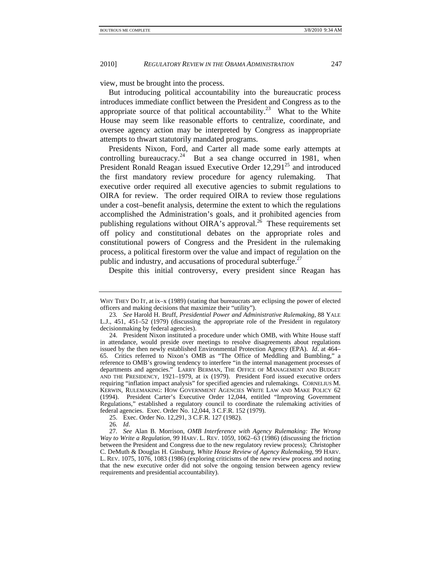view, must be brought into the process.

But introducing political accountability into the bureaucratic process introduces immediate conflict between the President and Congress as to the appropriate source of that political accountability.<sup>23</sup> What to the White House may seem like reasonable efforts to centralize, coordinate, and oversee agency action may be interpreted by Congress as inappropriate attempts to thwart statutorily mandated programs.

Presidents Nixon, Ford, and Carter all made some early attempts at controlling bureaucracy.<sup>24</sup> But a sea change occurred in 1981, when President Ronald Reagan issued Executive Order  $12,291^{25}$  and introduced the first mandatory review procedure for agency rulemaking. That executive order required all executive agencies to submit regulations to OIRA for review. The order required OIRA to review those regulations under a cost–benefit analysis, determine the extent to which the regulations accomplished the Administration's goals, and it prohibited agencies from publishing regulations without OIRA's approval.<sup>26</sup> These requirements set off policy and constitutional debates on the appropriate roles and constitutional powers of Congress and the President in the rulemaking process, a political firestorm over the value and impact of regulation on the public and industry, and accusations of procedural subterfuge.<sup>27</sup>

Despite this initial controversy, every president since Reagan has

WHY THEY DO IT, at ix-x (1989) (stating that bureaucrats are eclipsing the power of elected officers and making decisions that maximize their "utility").

<sup>23</sup>*. See* Harold H. Bruff, *Presidential Power and Administrative Rulemaking*, 88 YALE L.J., 451, 451–52 (1979) (discussing the appropriate role of the President in regulatory decisionmaking by federal agencies).

 <sup>24.</sup> President Nixon instituted a procedure under which OMB, with White House staff in attendance, would preside over meetings to resolve disagreements about regulations issued by the then newly established Environmental Protection Agency (EPA). *Id*. at 464– 65. Critics referred to Nixon's OMB as "The Office of Meddling and Bumbling," a reference to OMB's growing tendency to interfere "in the internal management processes of departments and agencies." LARRY BERMAN, THE OFFICE OF MANAGEMENT AND BUDGET AND THE PRESIDENCY, 1921–1979, at ix (1979). President Ford issued executive orders requiring "inflation impact analysis" for specified agencies and rulemakings. CORNELIUS M. KERWIN, RULEMAKING: HOW GOVERNMENT AGENCIES WRITE LAW AND MAKE POLICY 62 (1994). President Carter's Executive Order 12,044, entitled "Improving Government Regulations," established a regulatory council to coordinate the rulemaking activities of federal agencies. Exec. Order No. 12,044, 3 C.F.R. 152 (1979).

 <sup>25.</sup> Exec. Order No. 12,291, 3 C.F.R. 127 (1982).

<sup>26</sup>*. Id*.

<sup>27</sup>*. See* Alan B. Morrison, *OMB Interference with Agency Rulemaking: The Wrong Way to Write a Regulation*, 99 HARV. L. REV. 1059, 1062–63 (1986) (discussing the friction between the President and Congress due to the new regulatory review process); Christopher C. DeMuth & Douglas H. Ginsburg, *White House Review of Agency Rulemaking*, 99 HARV. L. REV. 1075, 1076, 1083 (1986) (exploring criticisms of the new review process and noting that the new executive order did not solve the ongoing tension between agency review requirements and presidential accountability).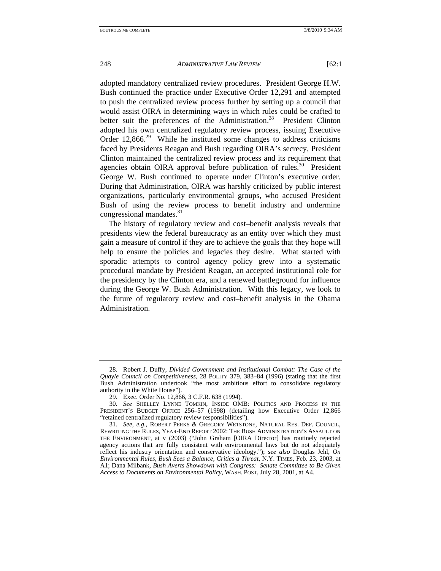adopted mandatory centralized review procedures. President George H.W. Bush continued the practice under Executive Order 12,291 and attempted to push the centralized review process further by setting up a council that would assist OIRA in determining ways in which rules could be crafted to better suit the preferences of the Administration.<sup>28</sup> President Clinton adopted his own centralized regulatory review process, issuing Executive Order  $12,866.^{29}$  While he instituted some changes to address criticisms faced by Presidents Reagan and Bush regarding OIRA's secrecy, President Clinton maintained the centralized review process and its requirement that agencies obtain OIRA approval before publication of rules.<sup>30</sup> President George W. Bush continued to operate under Clinton's executive order. During that Administration, OIRA was harshly criticized by public interest organizations, particularly environmental groups, who accused President Bush of using the review process to benefit industry and undermine congressional mandates.<sup>31</sup>

The history of regulatory review and cost–benefit analysis reveals that presidents view the federal bureaucracy as an entity over which they must gain a measure of control if they are to achieve the goals that they hope will help to ensure the policies and legacies they desire. What started with sporadic attempts to control agency policy grew into a systematic procedural mandate by President Reagan, an accepted institutional role for the presidency by the Clinton era, and a renewed battleground for influence during the George W. Bush Administration. With this legacy, we look to the future of regulatory review and cost–benefit analysis in the Obama Administration.

 <sup>28.</sup> Robert J. Duffy, *Divided Government and Institutional Combat: The Case of the Quayle Council on Competitiveness*, 28 POLITY 379, 383–84 (1996) (stating that the first Bush Administration undertook "the most ambitious effort to consolidate regulatory authority in the White House").

 <sup>29.</sup> Exec. Order No. 12,866, 3 C.F.R. 638 (1994).

<sup>30</sup>*. See* SHELLEY LYNNE TOMKIN, INSIDE OMB: POLITICS AND PROCESS IN THE PRESIDENT'S BUDGET OFFICE 256–57 (1998) (detailing how Executive Order 12,866 "retained centralized regulatory review responsibilities").

<sup>31</sup>*. See, e.g*., ROBERT PERKS & GREGORY WETSTONE, NATURAL RES. DEF. COUNCIL, REWRITING THE RULES, YEAR-END REPORT 2002: THE BUSH ADMINISTRATION'S ASSAULT ON THE ENVIRONMENT, at v (2003) ("John Graham [OIRA Director] has routinely rejected agency actions that are fully consistent with environmental laws but do not adequately reflect his industry orientation and conservative ideology."); *see also* Douglas Jehl, *On Environmental Rules, Bush Sees a Balance, Critics a Threat*, N.Y. TIMES, Feb. 23, 2003, at A1; Dana Milbank, *Bush Averts Showdown with Congress: Senate Committee to Be Given Access to Documents on Environmental Policy*, WASH. POST, July 28, 2001, at A4.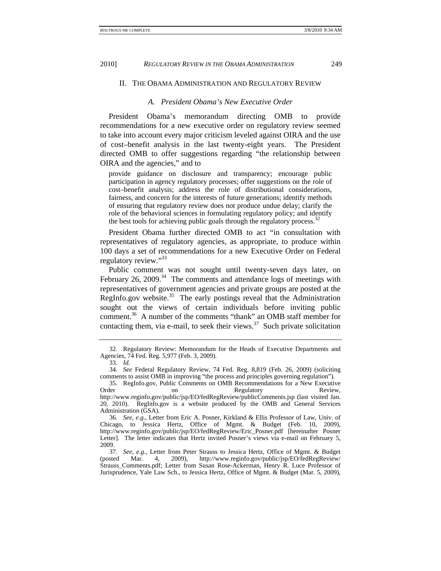#### II. THE OBAMA ADMINISTRATION AND REGULATORY REVIEW

# *A. President Obama's New Executive Order*

President Obama's memorandum directing OMB to provide recommendations for a new executive order on regulatory review seemed to take into account every major criticism leveled against OIRA and the use of cost–benefit analysis in the last twenty-eight years. The President directed OMB to offer suggestions regarding "the relationship between OIRA and the agencies," and to

provide guidance on disclosure and transparency; encourage public participation in agency regulatory processes; offer suggestions on the role of cost–benefit analysis; address the role of distributional considerations, fairness, and concern for the interests of future generations; identify methods of ensuring that regulatory review does not produce undue delay; clarify the role of the behavioral sciences in formulating regulatory policy; and identify the best tools for achieving public goals through the regulatory process.<sup>32</sup>

President Obama further directed OMB to act "in consultation with representatives of regulatory agencies, as appropriate, to produce within 100 days a set of recommendations for a new Executive Order on Federal regulatory review."<sup>33</sup>

Public comment was not sought until twenty-seven days later, on February 26, 2009.<sup>34</sup> The comments and attendance logs of meetings with representatives of government agencies and private groups are posted at the RegInfo.gov website.<sup>35</sup> The early postings reveal that the Administration sought out the views of certain individuals before inviting public comment.36 A number of the comments "thank" an OMB staff member for contacting them, via e-mail, to seek their views. $37$  Such private solicitation

 <sup>32.</sup> Regulatory Review: Memorandum for the Heads of Executive Departments and Agencies, 74 Fed. Reg. 5,977 (Feb. 3, 2009).

<sup>33</sup>*. Id.*

<sup>34</sup>*. See* Federal Regulatory Review, 74 Fed. Reg. 8,819 (Feb. 26, 2009) (soliciting comments to assist OMB in improving "the process and principles governing regulation").

 <sup>35.</sup> RegInfo.gov, Public Comments on OMB Recommendations for a New Executive Order on on Regulatory Review, http://www.reginfo.gov/public/jsp/EO/fedRegReview/publicComments.jsp (last visited Jan. 20, 2010). RegInfo.gov is a website produced by the OMB and General Services Administration (GSA).

<sup>36</sup>*. See, e.g*., Letter from Eric A. Posner, Kirkland & Ellis Professor of Law, Univ. of Chicago, to Jessica Hertz, Office of Mgmt. & Budget (Feb. 10, 2009), http://www.reginfo.gov/public/jsp/EO/fedRegReview/Eric\_Posner.pdf [hereinafter Posner Letter]. The letter indicates that Hertz invited Posner's views via e-mail on February 5, 2009.

<sup>37.</sup> See, e.g., Letter from Peter Strauss to Jessica Hertz, Office of Mgmt. & Budget (posted Mar. 4. 2009). http://www.reginfo.gov/public/isp/EO/fedRegReview/ Mar. 4, 2009), http://www.reginfo.gov/public/jsp/EO/fedRegReview/ Strauss\_Comments.pdf; Letter from Susan Rose-Ackerman, Henry R. Luce Professor of Jurisprudence, Yale Law Sch., to Jessica Hertz, Office of Mgmt. & Budget (Mar. 5, 2009),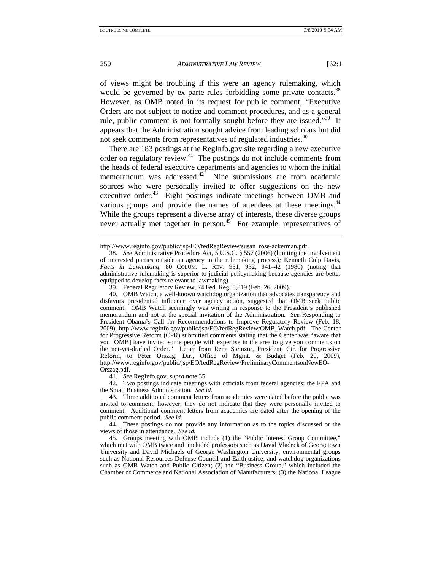of views might be troubling if this were an agency rulemaking, which would be governed by ex parte rules forbidding some private contacts.<sup>38</sup> However, as OMB noted in its request for public comment, "Executive Orders are not subject to notice and comment procedures, and as a general rule, public comment is not formally sought before they are issued."<sup>39</sup> It appears that the Administration sought advice from leading scholars but did not seek comments from representatives of regulated industries.<sup>40</sup>

There are 183 postings at the RegInfo.gov site regarding a new executive order on regulatory review.<sup>41</sup> The postings do not include comments from the heads of federal executive departments and agencies to whom the initial memorandum was addressed.<sup>42</sup> Nine submissions are from academic sources who were personally invited to offer suggestions on the new executive order.<sup>43</sup> Eight postings indicate meetings between OMB and various groups and provide the names of attendees at these meetings.<sup>44</sup> While the groups represent a diverse array of interests, these diverse groups never actually met together in person.<sup>45</sup> For example, representatives of

41*. See* RegInfo.gov, *supra* note 35.

 42. Two postings indicate meetings with officials from federal agencies: the EPA and the Small Business Administration. *See id.*

http://www.reginfo.gov/public/jsp/EO/fedRegReview/susan\_rose-ackerman.pdf.

<sup>38</sup>*. See* Administrative Procedure Act, 5 U.S.C. § 557 (2006) (limiting the involvement of interested parties outside an agency in the rulemaking process)*;* Kenneth Culp Davis, *Facts in Lawmaking*, 80 COLUM. L. REV. 931, 932, 941–42 (1980) (noting that administrative rulemaking is superior to judicial policymaking because agencies are better equipped to develop facts relevant to lawmaking).

 <sup>39.</sup> Federal Regulatory Review, 74 Fed. Reg. 8,819 (Feb. 26, 2009).

 <sup>40.</sup> OMB Watch, a well-known watchdog organization that advocates transparency and disfavors presidential influence over agency action, suggested that OMB seek public comment. OMB Watch seemingly was writing in response to the President's published memorandum and not at the special invitation of the Administration. *See* Responding to President Obama's Call for Recommendations to Improve Regulatory Review (Feb. 18, 2009), http://www.reginfo.gov/public/jsp/EO/fedRegReview/OMB\_Watch.pdf. The Center for Progressive Reform (CPR) submitted comments stating that the Center was "aware that you [OMB] have invited some people with expertise in the area to give you comments on the not-yet-drafted Order." Letter from Rena Steinzor, President, Ctr. for Progressive Reform, to Peter Orszag, Dir., Office of Mgmt. & Budget (Feb. 20, 2009), http://www.reginfo.gov/public/jsp/EO/fedRegReview/PreliminaryCommentsonNewEO-Orszag.pdf.

 <sup>43.</sup> Three additional comment letters from academics were dated before the public was invited to comment; however, they do not indicate that they were personally invited to comment. Additional comment letters from academics are dated after the opening of the public comment period. *See id.*

 <sup>44.</sup> These postings do not provide any information as to the topics discussed or the views of those in attendance. *See id.*

 <sup>45.</sup> Groups meeting with OMB include (1) the "Public Interest Group Committee," which met with OMB twice and included professors such as David Vladeck of Georgetown University and David Michaels of George Washington University, environmental groups such as National Resources Defense Council and Earthjustice, and watchdog organizations such as OMB Watch and Public Citizen; (2) the "Business Group," which included the Chamber of Commerce and National Association of Manufacturers; (3) the National League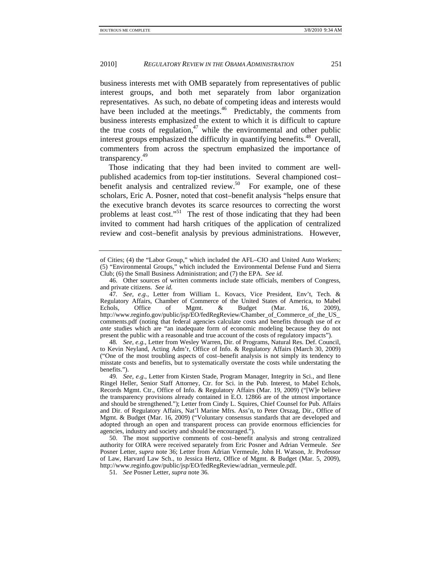business interests met with OMB separately from representatives of public interest groups, and both met separately from labor organization representatives. As such, no debate of competing ideas and interests would have been included at the meetings.<sup>46</sup> Predictably, the comments from business interests emphasized the extent to which it is difficult to capture the true costs of regulation, $47$  while the environmental and other public interest groups emphasized the difficulty in quantifying benefits.<sup>48</sup> Overall, commenters from across the spectrum emphasized the importance of transparency.49

Those indicating that they had been invited to comment are wellpublished academics from top-tier institutions. Several championed cost– benefit analysis and centralized review.<sup>50</sup> For example, one of these scholars, Eric A. Posner, noted that cost–benefit analysis "helps ensure that the executive branch devotes its scarce resources to correcting the worst problems at least cost."<sup>51</sup> The rest of those indicating that they had been invited to comment had harsh critiques of the application of centralized review and cost–benefit analysis by previous administrations. However,

48*. See, e.g.*, Letter from Wesley Warren, Dir. of Programs, Natural Res. Def. Council, to Kevin Neyland, Acting Adm'r, Office of Info. & Regulatory Affairs (March 30, 2009) ("One of the most troubling aspects of cost–benefit analysis is not simply its tendency to misstate costs and benefits, but to systematically overstate the costs while understating the benefits.").

49*. See, e.g*., Letter from Kirsten Stade, Program Manager, Integrity in Sci., and Ilene Ringel Heller, Senior Staff Attorney, Ctr. for Sci. in the Pub. Interest, to Mabel Echols, Records Mgmt. Ctr., Office of Info. & Regulatory Affairs (Mar. 19, 2009) ("[W]e believe the transparency provisions already contained in E.O. 12866 are of the utmost importance and should be strengthened."); Letter from Cindy L. Squires, Chief Counsel for Pub. Affairs and Dir. of Regulatory Affairs, Nat'l Marine Mfrs. Ass'n, to Peter Orszag, Dir., Office of Mgmt. & Budget (Mar. 16, 2009) ("Voluntary consensus standards that are developed and adopted through an open and transparent process can provide enormous efficiencies for agencies, industry and society and should be encouraged.").

 50. The most supportive comments of cost–benefit analysis and strong centralized authority for OIRA were received separately from Eric Posner and Adrian Vermeule. *See* Posner Letter, *supra* note 36; Letter from Adrian Vermeule, John H. Watson, Jr. Professor of Law, Harvard Law Sch., to Jessica Hertz, Office of Mgmt. & Budget (Mar. 5, 2009), http://www.reginfo.gov/public/jsp/EO/fedRegReview/adrian\_vermeule.pdf.

51*. See* Posner Letter, *supra* note 36.

of Cities; (4) the "Labor Group," which included the AFL–CIO and United Auto Workers; (5) "Environmental Groups," which included the Environmental Defense Fund and Sierra Club; (6) the Small Business Administration; and (7) the EPA. *See id*.

 <sup>46.</sup> Other sources of written comments include state officials, members of Congress, and private citizens. *See id.*

<sup>47</sup>*. See, e.g.*, Letter from William L. Kovacs, Vice President, Env't, Tech. & Regulatory Affairs, Chamber of Commerce of the United States of America, to Mabel Echols, Office of Mgmt. & Budget (Mar. 16, 2009), http://www.reginfo.gov/public/jsp/EO/fedRegReview/Chamber\_of\_Commerce\_of\_the\_US\_ comments.pdf (noting that federal agencies calculate costs and benefits through use of *ex ante* studies which are "an inadequate form of economic modeling because they do not present the public with a reasonable and true account of the costs of regulatory impacts").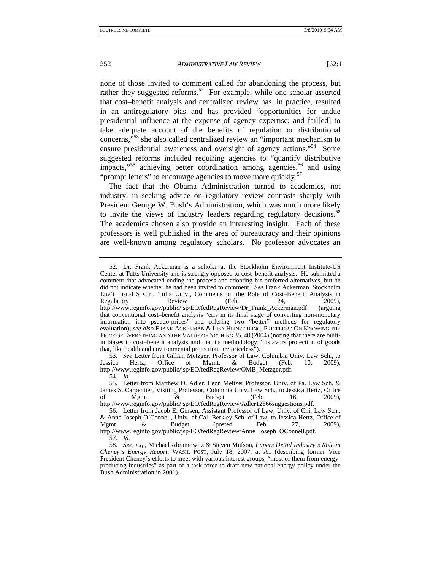none of those invited to comment called for abandoning the process, but rather they suggested reforms.<sup>52</sup> For example, while one scholar asserted that cost–benefit analysis and centralized review has, in practice, resulted in an antiregulatory bias and has provided "opportunities for undue presidential influence at the expense of agency expertise; and fail[ed] to take adequate account of the benefits of regulation or distributional concerns,"53 she also called centralized review an "important mechanism to ensure presidential awareness and oversight of agency actions."<sup>54</sup> Some suggested reforms included requiring agencies to "quantify distributive impacts,"<sup>55</sup> achieving better coordination among agencies,  $56$  and using "prompt letters" to encourage agencies to move more quickly.<sup>57</sup>

The fact that the Obama Administration turned to academics, not industry, in seeking advice on regulatory review contrasts sharply with President George W. Bush's Administration, which was much more likely to invite the views of industry leaders regarding regulatory decisions.<sup>58</sup> The academics chosen also provide an interesting insight. Each of these professors is well published in the area of bureaucracy and their opinions are well-known among regulatory scholars. No professor advocates an

 <sup>52.</sup> Dr. Frank Ackerman is a scholar at the Stockholm Environment Institute-US Center at Tufts University and is strongly opposed to cost–benefit analysis. He submitted a comment that advocated ending the process and adopting his preferred alternatives, but he did not indicate whether he had been invited to comment. *See* Frank Ackerman, Stockholm Env't Inst.-US Ctr., Tufts Univ., Comments on the Role of Cost–Benefit Analysis in Regulatory Review (Feb. 24. 2009). Regulatory Review (Feb. 24, 2009), http://www.reginfo.gov/public/jsp/EO/fedRegReview/Dr\_Frank\_Ackerman.pdf (arguing that conventional cost–benefit analysis "errs in its final stage of converting non-monetary information into pseudo-prices" and offering two "better" methods for regulatory evaluation); *see also* FRANK ACKERMAN & LISA HEINZERLING, PRICELESS: ON KNOWING THE PRICE OF EVERYTHING AND THE VALUE OF NOTHING 35, 40 (2004) (noting that there are builtin biases to cost–benefit analysis and that its methodology "disfavors protection of goods that, like health and environmental protection, are priceless").

<sup>53</sup>*. See* Letter from Gillian Metzger, Professor of Law, Columbia Univ. Law Sch., to Jessica Hertz, Office of Mgmt. & Budget (Feb. 10, 2009), http://www.reginfo.gov/public/jsp/EO/fedRegReview/OMB\_Metzger.pdf.

<sup>54</sup>*. Id.*

 <sup>55.</sup> Letter from Matthew D. Adler, Leon Meltzer Professor, Univ. of Pa. Law Sch. & James S. Carpentier, Visiting Professor, Columbia Univ. Law Sch., to Jessica Hertz, Office of Mgmt. & Budget (Feb. 16, 2009), http://www.reginfo.gov/public/jsp/EO/fedRegReview/Adler12866suggestions.pdf.

 <sup>56.</sup> Letter from Jacob E. Gersen, Assistant Professor of Law, Univ. of Chi. Law Sch., & Anne Joseph O'Connell, Univ. of Cal. Berkley Sch. of Law, to Jessica Hertz, Office of Mgmt.  $\&$  Budget (posted Feb. 27, 2009), http://www.reginfo.gov/public/jsp/EO/fedRegReview/Anne\_Joseph\_OConnell.pdf. 57*. Id.*

<sup>58</sup>*. See, e.g*., Michael Abramowitz & Steven Mufson, *Papers Detail Industry's Role in Cheney's Energy Report*, WASH. POST, July 18, 2007, at A1 (describing former Vice President Cheney's efforts to meet with various interest groups, "most of them from energyproducing industries" as part of a task force to draft new national energy policy under the Bush Administration in 2001).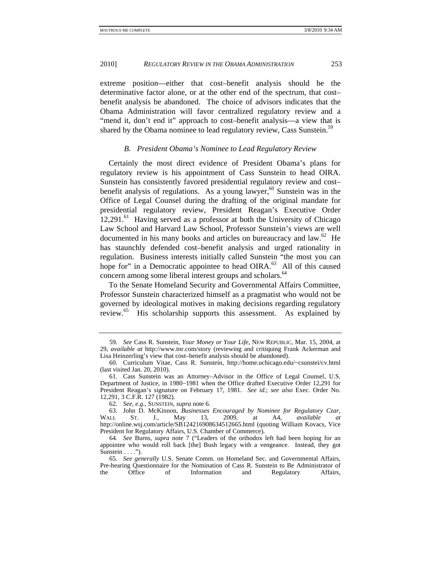extreme position—either that cost–benefit analysis should be the determinative factor alone, or at the other end of the spectrum, that cost– benefit analysis be abandoned. The choice of advisors indicates that the Obama Administration will favor centralized regulatory review and a "mend it, don't end it" approach to cost–benefit analysis—a view that is shared by the Obama nominee to lead regulatory review, Cass Sunstein.<sup>59</sup>

# *B. President Obama's Nominee to Lead Regulatory Review*

Certainly the most direct evidence of President Obama's plans for regulatory review is his appointment of Cass Sunstein to head OIRA. Sunstein has consistently favored presidential regulatory review and cost– benefit analysis of regulations. As a young lawyer,<sup>60</sup> Sunstein was in the Office of Legal Counsel during the drafting of the original mandate for presidential regulatory review, President Reagan's Executive Order  $12,291$ .<sup>61</sup> Having served as a professor at both the University of Chicago Law School and Harvard Law School, Professor Sunstein's views are well documented in his many books and articles on bureaucracy and law.<sup>62</sup> He has staunchly defended cost–benefit analysis and urged rationality in regulation. Business interests initially called Sunstein "the most you can hope for" in a Democratic appointee to head  $OIRA<sup>63</sup>$ . All of this caused concern among some liberal interest groups and scholars.<sup>64</sup>

To the Senate Homeland Security and Governmental Affairs Committee, Professor Sunstein characterized himself as a pragmatist who would not be governed by ideological motives in making decisions regarding regulatory review.65 His scholarship supports this assessment. As explained by

<sup>59</sup>*. See* Cass R. Sunstein, *Your Money or Your Life*, NEW REPUBLIC, Mar. 15, 2004, at 29, *available at* http://www.tnr.com/story (reviewing and critiquing Frank Ackerman and Lisa Heinzerling's view that cost–benefit analysis should be abandoned).

 <sup>60.</sup> Curriculum Vitae, Cass R. Sunstein, http://home.uchicago.edu/~csunstei/cv.html (last visited Jan. 20, 2010).

 <sup>61.</sup> Cass Sunstein was an Attorney–Advisor in the Office of Legal Counsel, U.S. Department of Justice, in 1980−1981 when the Office drafted Executive Order 12,291 for President Reagan's signature on February 17, 1981. *See id.*; *see also* Exec. Order No. 12,291, 3 C.F.R. 127 (1982).

<sup>62</sup>*. See, e.g.*, SUNSTEIN, *supra* note 6.

 <sup>63.</sup> John D. McKinnon, *Businesses Encouraged by Nominee for Regulatory Czar*, WALL ST. J., May 13, 2009, at A4, *available at* http://online.wsj.com/article/SB124216908634512665.html (quoting William Kovacs, Vice President for Regulatory Affairs, U.S. Chamber of Commerce).

<sup>64</sup>*. See* Burns, *supra* note 7 ("Leaders of the orthodox left had been hoping for an appointee who would roll back [the] Bush legacy with a vengeance. Instead, they got Sunstein . . . .").

<sup>65</sup>*. See generally* U.S. Senate Comm. on Homeland Sec. and Governmental Affairs, Pre-hearing Questionnaire for the Nomination of Cass R. Sunstein to Be Administrator of the Office of Information and Regulatory Affairs,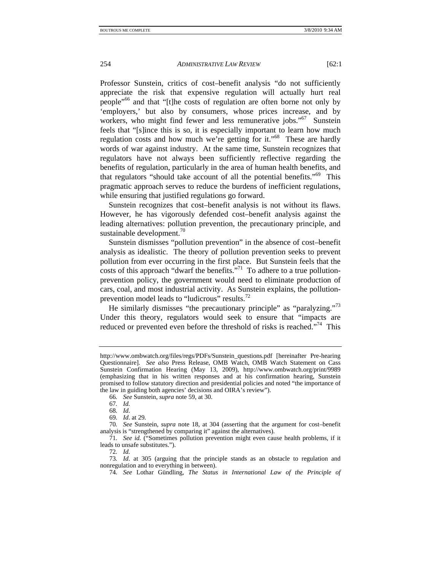Professor Sunstein, critics of cost–benefit analysis "do not sufficiently appreciate the risk that expensive regulation will actually hurt real people"66 and that "[t]he costs of regulation are often borne not only by 'employers,' but also by consumers, whose prices increase, and by workers, who might find fewer and less remunerative jobs."<sup>67</sup> Sunstein feels that "[s]ince this is so, it is especially important to learn how much regulation costs and how much we're getting for it."<sup>68</sup> These are hardly words of war against industry. At the same time, Sunstein recognizes that regulators have not always been sufficiently reflective regarding the benefits of regulation, particularly in the area of human health benefits, and that regulators "should take account of all the potential benefits."<sup>69</sup> This pragmatic approach serves to reduce the burdens of inefficient regulations, while ensuring that justified regulations go forward.

Sunstein recognizes that cost–benefit analysis is not without its flaws. However, he has vigorously defended cost–benefit analysis against the leading alternatives: pollution prevention, the precautionary principle, and sustainable development.<sup>70</sup>

Sunstein dismisses "pollution prevention" in the absence of cost–benefit analysis as idealistic. The theory of pollution prevention seeks to prevent pollution from ever occurring in the first place. But Sunstein feels that the costs of this approach "dwarf the benefits. $\cdot$ <sup>71</sup> To adhere to a true pollutionprevention policy, the government would need to eliminate production of cars, coal, and most industrial activity. As Sunstein explains, the pollutionprevention model leads to "ludicrous" results.<sup>72</sup>

He similarly dismisses "the precautionary principle" as "paralyzing."<sup>73</sup> Under this theory, regulators would seek to ensure that "impacts are reduced or prevented even before the threshold of risks is reached."<sup>74</sup> This

http://www.ombwatch.org/files/regs/PDFs/Sunstein\_questions.pdf [hereinafter Pre-hearing Questionnaire]. *See also* Press Release, OMB Watch, OMB Watch Statement on Cass Sunstein Confirmation Hearing (May 13, 2009), http://www.ombwatch.org/print/9989 (emphasizing that in his written responses and at his confirmation hearing, Sunstein promised to follow statutory direction and presidential policies and noted "the importance of the law in guiding both agencies' decisions and OIRA's review").

<sup>66</sup>*. See* Sunstein, *supra* note 59, at 30.

<sup>67</sup>*. Id.*

<sup>68</sup>*. Id*.

<sup>69</sup>*. Id*. at 29.

<sup>70</sup>*. See* Sunstein, *supra* note 18, at 304 (asserting that the argument for cost–benefit analysis is "strengthened by comparing it" against the alternatives).

<sup>71</sup>*. See id.* ("Sometimes pollution prevention might even cause health problems, if it leads to unsafe substitutes.").

<sup>72</sup>*. Id.*

<sup>73</sup>*. Id*. at 305 (arguing that the principle stands as an obstacle to regulation and nonregulation and to everything in between).

<sup>74</sup>*. See* Lothar Gündling, *The Status in International Law of the Principle of*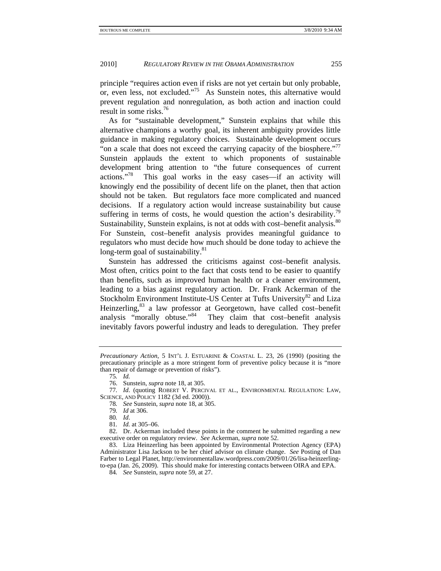principle "requires action even if risks are not yet certain but only probable, or, even less, not excluded."<sup>75</sup> As Sunstein notes, this alternative would prevent regulation and nonregulation, as both action and inaction could result in some risks.76

As for "sustainable development," Sunstein explains that while this alternative champions a worthy goal, its inherent ambiguity provides little guidance in making regulatory choices. Sustainable development occurs "on a scale that does not exceed the carrying capacity of the biosphere."<sup>77</sup> Sunstein applauds the extent to which proponents of sustainable development bring attention to "the future consequences of current actions."78 This goal works in the easy cases—if an activity will knowingly end the possibility of decent life on the planet, then that action should not be taken. But regulators face more complicated and nuanced decisions. If a regulatory action would increase sustainability but cause suffering in terms of costs, he would question the action's desirability.<sup>79</sup> Sustainability, Sunstein explains, is not at odds with cost–benefit analysis.<sup>80</sup> For Sunstein, cost–benefit analysis provides meaningful guidance to regulators who must decide how much should be done today to achieve the long-term goal of sustainability.<sup>81</sup>

Sunstein has addressed the criticisms against cost–benefit analysis. Most often, critics point to the fact that costs tend to be easier to quantify than benefits, such as improved human health or a cleaner environment, leading to a bias against regulatory action. Dr. Frank Ackerman of the Stockholm Environment Institute-US Center at Tufts University<sup>82</sup> and Liza Heinzerling,<sup>83</sup> a law professor at Georgetown, have called cost-benefit analysis "morally obtuse."84 They claim that cost–benefit analysis inevitably favors powerful industry and leads to deregulation. They prefer

*Precautionary Action*, 5 INT'L J. ESTUARINE & COASTAL L. 23, 26 (1990) (positing the precautionary principle as a more stringent form of preventive policy because it is "more than repair of damage or prevention of risks").

<sup>75</sup>*. Id.*

 <sup>76.</sup> Sunstein, *supra* note 18, at 305.

<sup>77</sup>*. Id*. (quoting ROBERT V. PERCIVAL ET AL., ENVIRONMENTAL REGULATION: LAW, SCIENCE, AND POLICY 1182 (3d ed. 2000)).

<sup>78</sup>*. See* Sunstein, *supra* note 18, at 305.

<sup>79</sup>*. Id* at 306.

<sup>80</sup>*. Id*.

<sup>81</sup>*. Id.* at 305–06.

 <sup>82.</sup> Dr. Ackerman included these points in the comment he submitted regarding a new executive order on regulatory review. *See* Ackerman, *supra* note 52.

 <sup>83.</sup> Liza Heinzerling has been appointed by Environmental Protection Agency (EPA) Administrator Lisa Jackson to be her chief advisor on climate change. *See* Posting of Dan Farber to Legal Planet, http://environmentallaw.wordpress.com/2009/01/26/lisa-heinzerlingto-epa (Jan. 26, 2009). This should make for interesting contacts between OIRA and EPA.

<sup>84</sup>*. See* Sunstein, *supra* note 59, at 27.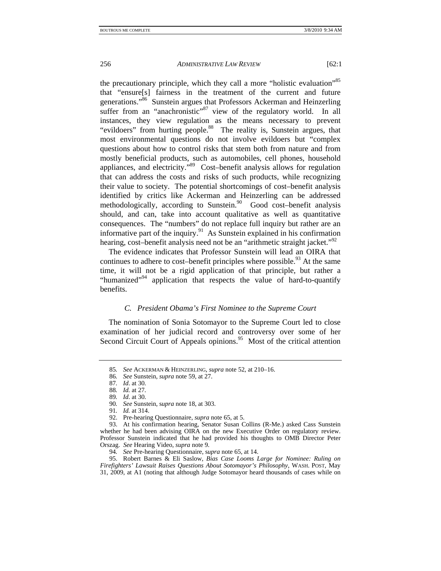the precautionary principle, which they call a more "holistic evaluation"<sup>85</sup> that "ensure[s] fairness in the treatment of the current and future generations."<sup>86</sup> Sunstein argues that Professors Ackerman and Heinzerling suffer from an "anachronistic"<sup>87</sup> view of the regulatory world. In all instances, they view regulation as the means necessary to prevent "evildoers" from hurting people.<sup>88</sup> The reality is, Sunstein argues, that most environmental questions do not involve evildoers but "complex questions about how to control risks that stem both from nature and from mostly beneficial products, such as automobiles, cell phones, household appliances, and electricity."89 Cost–benefit analysis allows for regulation that can address the costs and risks of such products, while recognizing their value to society. The potential shortcomings of cost–benefit analysis identified by critics like Ackerman and Heinzerling can be addressed methodologically, according to Sunstein.<sup>90</sup> Good cost–benefit analysis should, and can, take into account qualitative as well as quantitative consequences. The "numbers" do not replace full inquiry but rather are an informative part of the inquiry.<sup>91</sup> As Sunstein explained in his confirmation hearing, cost–benefit analysis need not be an "arithmetic straight jacket."<sup>92</sup>

The evidence indicates that Professor Sunstein will lead an OIRA that continues to adhere to cost–benefit principles where possible.<sup>93</sup> At the same time, it will not be a rigid application of that principle, but rather a "humanized"<sup>94</sup> application that respects the value of hard-to-quantify benefits.

# *C. President Obama's First Nominee to the Supreme Court*

The nomination of Sonia Sotomayor to the Supreme Court led to close examination of her judicial record and controversy over some of her Second Circuit Court of Appeals opinions.<sup>95</sup> Most of the critical attention

<sup>85</sup>*. See* ACKERMAN & HEINZERLING, *supra* note 52, at 210–16.

<sup>86</sup>*. See* Sunstein, *supra* note 59, at 27.

<sup>87</sup>*. Id*. at 30.

<sup>88</sup>*. Id.* at 27.

<sup>89</sup>*. Id*. at 30.

<sup>90</sup>*. See* Sunstein, s*upra* note 18, at 303.

<sup>91</sup>*. Id.* at 314.

 <sup>92.</sup> Pre-hearing Questionnaire, *supra* note 65, at 5.

 <sup>93.</sup> At his confirmation hearing, Senator Susan Collins (R-Me.) asked Cass Sunstein whether he had been advising OIRA on the new Executive Order on regulatory review. Professor Sunstein indicated that he had provided his thoughts to OMB Director Peter Orszag. *See* Hearing Video, *supra* note 9.

<sup>94</sup>*. See* Pre-hearing Questionnaire, s*upra* note 65, at 14.

 <sup>95.</sup> Robert Barnes & Eli Saslow, *Bias Case Looms Large for Nominee: Ruling on Firefighters' Lawsuit Raises Questions About Sotomayor's Philosophy*, WASH. POST, May 31, 2009, at A1 (noting that although Judge Sotomayor heard thousands of cases while on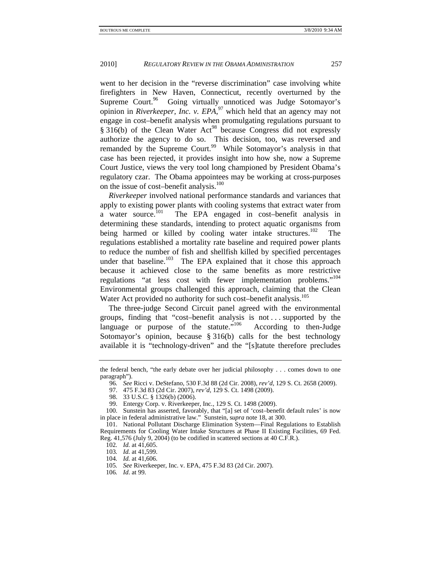went to her decision in the "reverse discrimination" case involving white firefighters in New Haven, Connecticut, recently overturned by the Supreme Court.<sup>96</sup> Going virtually unnoticed was Judge Sotomayor's opinion in *Riverkeeper, Inc. v. EPA*, 97 which held that an agency may not engage in cost–benefit analysis when promulgating regulations pursuant to  $§$  316(b) of the Clean Water Act<sup>98</sup> because Congress did not expressly authorize the agency to do so. This decision, too, was reversed and remanded by the Supreme Court.<sup>99</sup> While Sotomayor's analysis in that case has been rejected, it provides insight into how she, now a Supreme Court Justice, views the very tool long championed by President Obama's regulatory czar. The Obama appointees may be working at cross-purposes on the issue of cost–benefit analysis.<sup>100</sup>

*Riverkeeper* involved national performance standards and variances that apply to existing power plants with cooling systems that extract water from<br>a water source.<sup>101</sup> The EPA engaged in cost-benefit analysis in The EPA engaged in cost–benefit analysis in determining these standards, intending to protect aquatic organisms from being harmed or killed by cooling water intake structures.<sup>102</sup> The regulations established a mortality rate baseline and required power plants to reduce the number of fish and shellfish killed by specified percentages under that baseline.<sup>103</sup> The EPA explained that it chose this approach because it achieved close to the same benefits as more restrictive regulations "at less cost with fewer implementation problems."<sup>104</sup> Environmental groups challenged this approach, claiming that the Clean Water Act provided no authority for such cost–benefit analysis.<sup>105</sup>

The three-judge Second Circuit panel agreed with the environmental groups, finding that "cost–benefit analysis is not . . . supported by the language or purpose of the statute."<sup>106</sup> According to then-Judge Sotomayor's opinion, because § 316(b) calls for the best technology available it is "technology-driven" and the "[s]tatute therefore precludes

the federal bench, "the early debate over her judicial philosophy . . . comes down to one paragraph").

<sup>96</sup>*. See* Ricci v. DeStefano, 530 F.3d 88 (2d Cir. 2008), *rev'd*, 129 S. Ct. 2658 (2009).

 <sup>97. 475</sup> F.3d 83 (2d Cir. 2007), *rev'd*, 129 S. Ct. 1498 (2009).

 <sup>98. 33</sup> U.S.C. § 1326(b) (2006).

 <sup>99.</sup> Entergy Corp. v. Riverkeeper, Inc*.*, 129 S. Ct. 1498 (2009).

 <sup>100.</sup> Sunstein has asserted, favorably, that "[a] set of 'cost–benefit default rules' is now in place in federal administrative law." Sunstein, s*upra* note 18, at 300.

 <sup>101.</sup> National Pollutant Discharge Elimination System—Final Regulations to Establish Requirements for Cooling Water Intake Structures at Phase II Existing Facilities, 69 Fed. Reg. 41,576 (July 9, 2004) (to be codified in scattered sections at 40 C.F.R.).

<sup>102</sup>*. Id.* at 41,605.

<sup>103</sup>*. Id.* at 41,599.

<sup>104</sup>*. Id.* at 41,606.

<sup>105</sup>*. See* Riverkeeper, Inc. v. EPA, 475 F.3d 83 (2d Cir. 2007).

<sup>106</sup>*. Id*. at 99.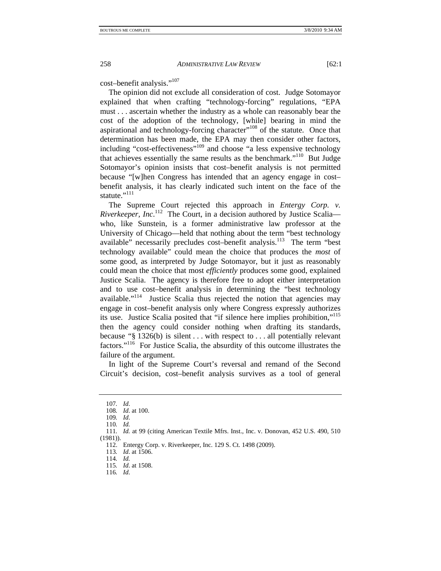cost–benefit analysis."107

The opinion did not exclude all consideration of cost. Judge Sotomayor explained that when crafting "technology-forcing" regulations, "EPA must . . . ascertain whether the industry as a whole can reasonably bear the cost of the adoption of the technology, [while] bearing in mind the aspirational and technology-forcing character"108 of the statute. Once that determination has been made, the EPA may then consider other factors, including "cost-effectiveness"<sup>109</sup> and choose "a less expensive technology" that achieves essentially the same results as the benchmark."<sup>110</sup> But Judge Sotomayor's opinion insists that cost–benefit analysis is not permitted because "[w]hen Congress has intended that an agency engage in cost– benefit analysis, it has clearly indicated such intent on the face of the statute."<sup>111</sup>

The Supreme Court rejected this approach in *Entergy Corp. v. Riverkeeper, Inc.*<sup>112</sup> The Court, in a decision authored by Justice Scalia who, like Sunstein, is a former administrative law professor at the University of Chicago—held that nothing about the term "best technology available" necessarily precludes cost–benefit analysis.<sup>113</sup> The term "best technology available" could mean the choice that produces the *most* of some good, as interpreted by Judge Sotomayor, but it just as reasonably could mean the choice that most *efficiently* produces some good, explained Justice Scalia. The agency is therefore free to adopt either interpretation and to use cost–benefit analysis in determining the "best technology available."<sup>114</sup> Justice Scalia thus rejected the notion that agencies may engage in cost–benefit analysis only where Congress expressly authorizes its use. Justice Scalia posited that "if silence here implies prohibition,"115 then the agency could consider nothing when drafting its standards, because "§ 1326(b) is silent . . . with respect to . . . all potentially relevant factors."116 For Justice Scalia, the absurdity of this outcome illustrates the failure of the argument.

In light of the Supreme Court's reversal and remand of the Second Circuit's decision, cost–benefit analysis survives as a tool of general

<sup>107</sup>*. Id*.

<sup>108</sup>*. Id*. at 100.

<sup>109</sup>*. Id*.

<sup>110</sup>*. Id.*

<sup>111</sup>*. Id.* at 99 (citing American Textile Mfrs. Inst., Inc. v. Donovan, 452 U.S. 490, 510 (1981)).

 <sup>112.</sup> Entergy Corp. v. Riverkeeper, Inc. 129 S. Ct. 1498 (2009).

<sup>113</sup>*. Id*. at 1506.

<sup>114</sup>*. Id.*

<sup>115</sup>*. Id*. at 1508.

<sup>116</sup>*. Id*.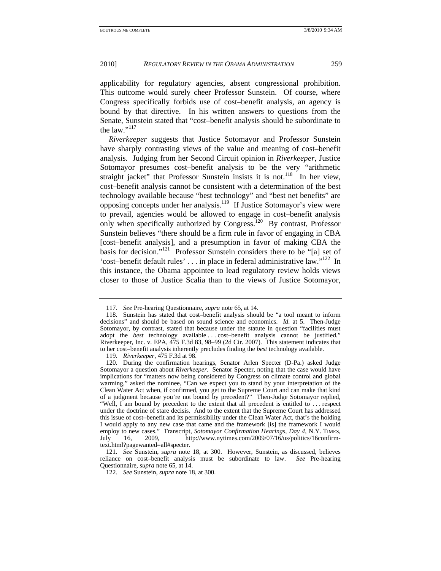applicability for regulatory agencies, absent congressional prohibition. This outcome would surely cheer Professor Sunstein. Of course, where Congress specifically forbids use of cost–benefit analysis, an agency is bound by that directive. In his written answers to questions from the Senate, Sunstein stated that "cost–benefit analysis should be subordinate to the law."<sup>117</sup>

*Riverkeeper* suggests that Justice Sotomayor and Professor Sunstein have sharply contrasting views of the value and meaning of cost–benefit analysis. Judging from her Second Circuit opinion in *Riverkeeper*, Justice Sotomayor presumes cost–benefit analysis to be the very "arithmetic straight jacket" that Professor Sunstein insists it is not.<sup>118</sup> In her view, cost–benefit analysis cannot be consistent with a determination of the best technology available because "best technology" and "best net benefits" are opposing concepts under her analysis.119 If Justice Sotomayor's view were to prevail, agencies would be allowed to engage in cost–benefit analysis only when specifically authorized by Congress.<sup>120</sup> By contrast, Professor Sunstein believes "there should be a firm rule in favor of engaging in CBA [cost–benefit analysis], and a presumption in favor of making CBA the basis for decision."121 Professor Sunstein considers there to be "[a] set of 'cost–benefit default rules' . . . in place in federal administrative law."122 In this instance, the Obama appointee to lead regulatory review holds views closer to those of Justice Scalia than to the views of Justice Sotomayor,

<sup>117</sup>*. See* Pre-hearing Questionnaire, *supra* note 65, at 14.

 <sup>118.</sup> Sunstein has stated that cost–benefit analysis should be "a tool meant to inform decisions" and should be based on sound science and economics. *Id.* at 5. Then-Judge Sotomayor, by contrast, stated that because under the statute in question "facilities must adopt the *best* technology available . . . cost–benefit analysis cannot be justified." Riverkeeper, Inc. v. EPA, 475 F.3d 83, 98–99 (2d Cir. 2007). This statement indicates that to her cost–benefit analysis inherently precludes finding the *best* technology available.

<sup>119</sup>*. Riverkeeper*, 475 F.3d at 98.

 <sup>120.</sup> During the confirmation hearings, Senator Arlen Specter (D-Pa.) asked Judge Sotomayor a question about *Riverkeeper*. Senator Specter, noting that the case would have implications for "matters now being considered by Congress on climate control and global warming," asked the nominee, "Can we expect you to stand by your interpretation of the Clean Water Act when, if confirmed, you get to the Supreme Court and can make that kind of a judgment because you're not bound by precedent?" Then-Judge Sotomayor replied, "Well, I am bound by precedent to the extent that all precedent is entitled to . . . respect under the doctrine of stare decisis. And to the extent that the Supreme Court has addressed this issue of cost–benefit and its permissibility under the Clean Water Act, that's the holding I would apply to any new case that came and the framework [is] the framework I would employ to new cases." Transcript, *Sotomayor Confirmation Hearings, Day 4*, N.Y. TIMES, July 16, 2009, http://www.nytimes.com/2009/07/16/us/politics/16confirmtext.html?pagewanted=all#specter.

<sup>121</sup>*. See* Sunstein, *supra* note 18, at 300. However, Sunstein, as discussed, believes reliance on cost–benefit analysis must be subordinate to law. *See* Pre-hearing Questionnaire, *supra* note 65, at 14.

<sup>122</sup>*. See* Sunstein, *supra* note 18, at 300.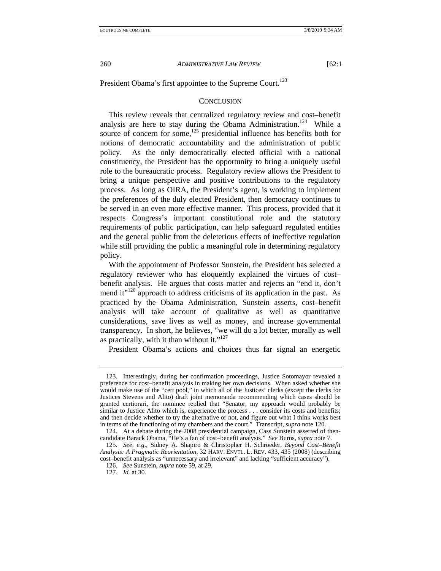President Obama's first appointee to the Supreme Court.<sup>123</sup>

#### **CONCLUSION**

This review reveals that centralized regulatory review and cost–benefit analysis are here to stay during the Obama Administration.<sup>124</sup> While a source of concern for some,  $125$  presidential influence has benefits both for notions of democratic accountability and the administration of public policy. As the only democratically elected official with a national constituency, the President has the opportunity to bring a uniquely useful role to the bureaucratic process. Regulatory review allows the President to bring a unique perspective and positive contributions to the regulatory process. As long as OIRA, the President's agent, is working to implement the preferences of the duly elected President, then democracy continues to be served in an even more effective manner. This process, provided that it respects Congress's important constitutional role and the statutory requirements of public participation, can help safeguard regulated entities and the general public from the deleterious effects of ineffective regulation while still providing the public a meaningful role in determining regulatory policy.

With the appointment of Professor Sunstein, the President has selected a regulatory reviewer who has eloquently explained the virtues of cost– benefit analysis. He argues that costs matter and rejects an "end it, don't mend it"<sup>126</sup> approach to address criticisms of its application in the past. As practiced by the Obama Administration, Sunstein asserts, cost–benefit analysis will take account of qualitative as well as quantitative considerations, save lives as well as money, and increase governmental transparency. In short, he believes, "we will do a lot better, morally as well as practically, with it than without it." $127$ 

President Obama's actions and choices thus far signal an energetic

 <sup>123.</sup> Interestingly, during her confirmation proceedings, Justice Sotomayor revealed a preference for cost–benefit analysis in making her own decisions. When asked whether she would make use of the "cert pool," in which all of the Justices' clerks (except the clerks for Justices Stevens and Alito) draft joint memoranda recommending which cases should be granted certiorari, the nominee replied that "Senator, my approach would probably be similar to Justice Alito which is, experience the process . . . consider its costs and benefits; and then decide whether to try the alternative or not, and figure out what I think works best in terms of the functioning of my chambers and the court." Transcript, *supra* note 120.

 <sup>124.</sup> At a debate during the 2008 presidential campaign, Cass Sunstein asserted of thencandidate Barack Obama, "He's a fan of cost–benefit analysis." *See* Burns, *supra* note 7.

<sup>125</sup>*. See, e.g*., Sidney A. Shapiro & Christopher H. Schroeder, *Beyond Cost–Benefit Analysis: A Pragmatic Reorientation*, 32 HARV. ENVTL. L. REV. 433, 435 (2008) (describing cost–benefit analysis as "unnecessary and irrelevant" and lacking "sufficient accuracy").

<sup>126</sup>*. See* Sunstein, *supra* note 59, at 29.

<sup>127</sup>*. Id.* at 30.